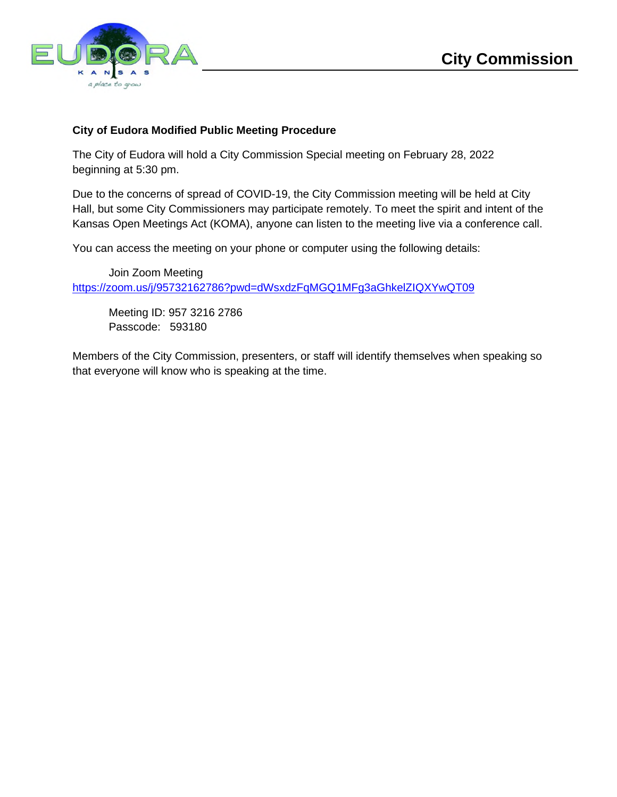

## **City of Eudora Modified Public Meeting Procedure**

The City of Eudora will hold a City Commission Special meeting on February 28, 2022 beginning at 5:30 pm.

Due to the concerns of spread of COVID-19, the City Commission meeting will be held at City Hall, but some City Commissioners may participate remotely. To meet the spirit and intent of the Kansas Open Meetings Act (KOMA), anyone can listen to the meeting live via a conference call.

You can access the meeting on your phone or computer using the following details:

Join Zoom Meeting https://zoom.us/j/95732162786?pwd=dWsxdzFqMGQ1MFg3aGhkelZIQXYwQT09

Meeting ID: 957 3216 2786 Passcode: 593180

Members of the City Commission, presenters, or staff will identify themselves when speaking so that everyone will know who is speaking at the time.